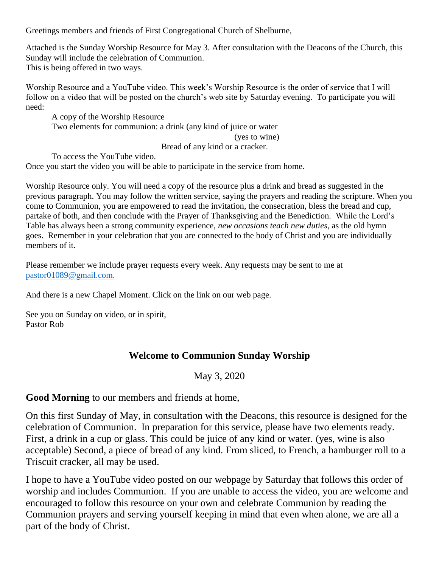Greetings members and friends of First Congregational Church of Shelburne,

Attached is the Sunday Worship Resource for May 3. After consultation with the Deacons of the Church, this Sunday will include the celebration of Communion. This is being offered in two ways.

Worship Resource and a YouTube video. This week's Worship Resource is the order of service that I will follow on a video that will be posted on the church's web site by Saturday evening. To participate you will need:

 A copy of the Worship Resource Two elements for communion: a drink (any kind of juice or water (yes to wine)

Bread of any kind or a cracker.

To access the YouTube video.

Once you start the video you will be able to participate in the service from home.

Worship Resource only. You will need a copy of the resource plus a drink and bread as suggested in the previous paragraph. You may follow the written service, saying the prayers and reading the scripture. When you come to Communion, you are empowered to read the invitation, the consecration, bless the bread and cup, partake of both, and then conclude with the Prayer of Thanksgiving and the Benediction. While the Lord's Table has always been a strong community experience, *new occasions teach new duties*, as the old hymn goes. Remember in your celebration that you are connected to the body of Christ and you are individually members of it.

Please remember we include prayer requests every week. Any requests may be sent to me at [pastor01089@gmail.com.](mailto:pastor01089@gmail.com)

And there is a new Chapel Moment. Click on the link on our web page.

See you on Sunday on video, or in spirit, Pastor Rob

### **Welcome to Communion Sunday Worship**

May 3, 2020

**Good Morning** to our members and friends at home,

On this first Sunday of May, in consultation with the Deacons, this resource is designed for the celebration of Communion. In preparation for this service, please have two elements ready. First, a drink in a cup or glass. This could be juice of any kind or water. (yes, wine is also acceptable) Second, a piece of bread of any kind. From sliced, to French, a hamburger roll to a Triscuit cracker, all may be used.

I hope to have a YouTube video posted on our webpage by Saturday that follows this order of worship and includes Communion. If you are unable to access the video, you are welcome and encouraged to follow this resource on your own and celebrate Communion by reading the Communion prayers and serving yourself keeping in mind that even when alone, we are all a part of the body of Christ.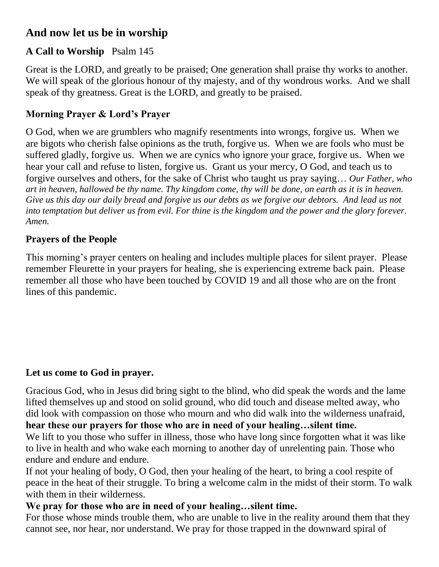# **And now let us be in worship**

# **A Call to Worship** Psalm 145

Great is the LORD, and greatly to be praised; One generation shall praise thy works to another. We will speak of the glorious honour of thy majesty, and of thy wondrous works. And we shall speak of thy greatness. Great is the LORD, and greatly to be praised.

# **Morning Prayer & Lord's Prayer**

O God, when we are grumblers who magnify resentments into wrongs, forgive us. When we are bigots who cherish false opinions as the truth, forgive us. When we are fools who must be suffered gladly, forgive us. When we are cynics who ignore your grace, forgive us. When we hear your call and refuse to listen, forgive us. Grant us your mercy, O God, and teach us to forgive ourselves and others, for the sake of Christ who taught us pray saying… *Our Father, who art in heaven, hallowed be thy name. Thy kingdom come, thy will be done, on earth as it is in heaven. Give us this day our daily bread and forgive us our debts as we forgive our debtors. And lead us not into temptation but deliver us from evil. For thine is the kingdom and the power and the glory forever. Amen.*

# **Prayers of the People**

This morning's prayer centers on healing and includes multiple places for silent prayer. Please remember Fleurette in your prayers for healing, she is experiencing extreme back pain. Please remember all those who have been touched by COVID 19 and all those who are on the front lines of this pandemic.

## **Let us come to God in prayer.**

Gracious God, who in Jesus did bring sight to the blind, who did speak the words and the lame lifted themselves up and stood on solid ground, who did touch and disease melted away, who did look with compassion on those who mourn and who did walk into the wilderness unafraid, **hear these our prayers for those who are in need of your healing…silent time.**

We lift to you those who suffer in illness, those who have long since forgotten what it was like to live in health and who wake each morning to another day of unrelenting pain. Those who endure and endure.

If not your healing of body, O God, then your healing of the heart, to bring a cool respite of peace in the heat of their struggle. To bring a welcome calm in the midst of their storm. To walk with them in their wilderness.

## **We pray for those who are in need of your healing…silent time.**

For those whose minds trouble them, who are unable to live in the reality around them that they cannot see, nor hear, nor understand. We pray for those trapped in the downward spiral of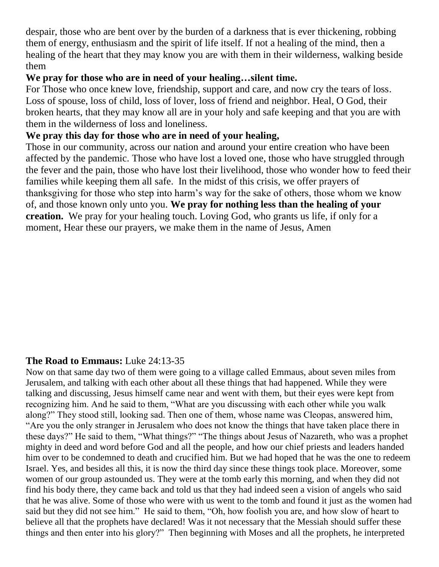despair, those who are bent over by the burden of a darkness that is ever thickening, robbing them of energy, enthusiasm and the spirit of life itself. If not a healing of the mind, then a healing of the heart that they may know you are with them in their wilderness, walking beside them

### **We pray for those who are in need of your healing…silent time.**

For Those who once knew love, friendship, support and care, and now cry the tears of loss. Loss of spouse, loss of child, loss of lover, loss of friend and neighbor. Heal, O God, their broken hearts, that they may know all are in your holy and safe keeping and that you are with them in the wilderness of loss and loneliness.

## **We pray this day for those who are in need of your healing,**

Those in our community, across our nation and around your entire creation who have been affected by the pandemic. Those who have lost a loved one, those who have struggled through the fever and the pain, those who have lost their livelihood, those who wonder how to feed their families while keeping them all safe. In the midst of this crisis, we offer prayers of thanksgiving for those who step into harm's way for the sake of others, those whom we know of, and those known only unto you. **We pray for nothing less than the healing of your creation.** We pray for your healing touch. Loving God, who grants us life, if only for a moment, Hear these our prayers, we make them in the name of Jesus, Amen

## **The Road to Emmaus:** Luke 24:13-35

Now on that same day two of them were going to a village called Emmaus, about seven miles from Jerusalem, and talking with each other about all these things that had happened. While they were talking and discussing, Jesus himself came near and went with them, but their eyes were kept from recognizing him. And he said to them, "What are you discussing with each other while you walk along?" They stood still, looking sad. Then one of them, whose name was Cleopas, answered him, "Are you the only stranger in Jerusalem who does not know the things that have taken place there in these days?" He said to them, "What things?" "The things about Jesus of Nazareth, who was a prophet mighty in deed and word before God and all the people, and how our chief priests and leaders handed him over to be condemned to death and crucified him. But we had hoped that he was the one to redeem Israel. Yes, and besides all this, it is now the third day since these things took place. Moreover, some women of our group astounded us. They were at the tomb early this morning, and when they did not find his body there, they came back and told us that they had indeed seen a vision of angels who said that he was alive. Some of those who were with us went to the tomb and found it just as the women had said but they did not see him." He said to them, "Oh, how foolish you are, and how slow of heart to believe all that the prophets have declared! Was it not necessary that the Messiah should suffer these things and then enter into his glory?" Then beginning with Moses and all the prophets, he interpreted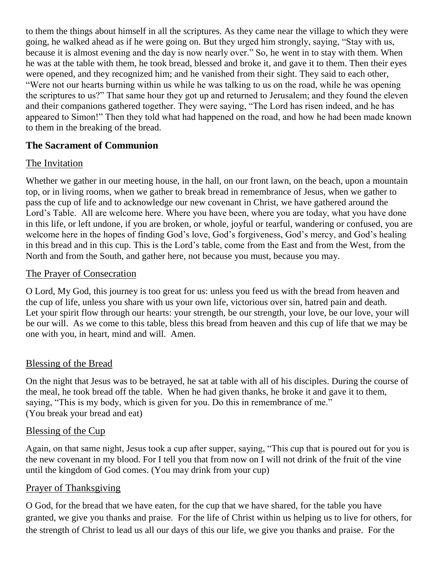to them the things about himself in all the scriptures. As they came near the village to which they were going, he walked ahead as if he were going on. But they urged him strongly, saying, "Stay with us, because it is almost evening and the day is now nearly over." So, he went in to stay with them. When he was at the table with them, he took bread, blessed and broke it, and gave it to them. Then their eyes were opened, and they recognized him; and he vanished from their sight. They said to each other, "Were not our hearts burning within us while he was talking to us on the road, while he was opening the scriptures to us?" That same hour they got up and returned to Jerusalem; and they found the eleven and their companions gathered together. They were saying, "The Lord has risen indeed, and he has appeared to Simon!" Then they told what had happened on the road, and how he had been made known to them in the breaking of the bread.

### **The Sacrament of Communion**

### The Invitation

Whether we gather in our meeting house, in the hall, on our front lawn, on the beach, upon a mountain top, or in living rooms, when we gather to break bread in remembrance of Jesus, when we gather to pass the cup of life and to acknowledge our new covenant in Christ, we have gathered around the Lord's Table. All are welcome here. Where you have been, where you are today, what you have done in this life, or left undone, if you are broken, or whole, joyful or tearful, wandering or confused, you are welcome here in the hopes of finding God's love, God's forgiveness, God's mercy, and God's healing in this bread and in this cup. This is the Lord's table, come from the East and from the West, from the North and from the South, and gather here, not because you must, because you may.

#### The Prayer of Consecration

O Lord, My God, this journey is too great for us: unless you feed us with the bread from heaven and the cup of life, unless you share with us your own life, victorious over sin, hatred pain and death. Let your spirit flow through our hearts: your strength, be our strength, your love, be our love, your will be our will. As we come to this table, bless this bread from heaven and this cup of life that we may be one with you, in heart, mind and will. Amen.

### Blessing of the Bread

On the night that Jesus was to be betrayed, he sat at table with all of his disciples. During the course of the meal, he took bread off the table. When he had given thanks, he broke it and gave it to them, saying, "This is my body, which is given for you. Do this in remembrance of me." (You break your bread and eat)

### Blessing of the Cup

Again, on that same night, Jesus took a cup after supper, saying, "This cup that is poured out for you is the new covenant in my blood. For I tell you that from now on I will not drink of the fruit of the vine until the kingdom of God comes. (You may drink from your cup)

### Prayer of Thanksgiving

O God, for the bread that we have eaten, for the cup that we have shared, for the table you have granted, we give you thanks and praise. For the life of Christ within us helping us to live for others, for the strength of Christ to lead us all our days of this our life, we give you thanks and praise. For the